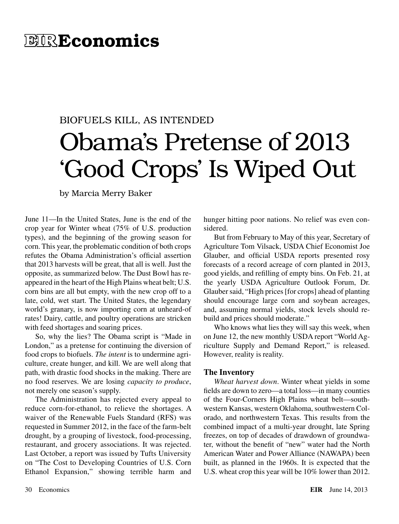# **EIREconomics**

# BIOFUELS KILL, AS INTENDED Obama's Pretense of 2013 'Good Crops' Is Wiped Out

by Marcia Merry Baker

June 11—In the United States, June is the end of the crop year for Winter wheat (75% of U.S. production types), and the beginning of the growing season for corn. This year, the problematic condition of both crops refutes the Obama Administration's official assertion that 2013 harvests will be great, that all is well. Just the opposite, as summarized below. The Dust Bowl has reappeared in the heart of the High Plains wheat belt; U.S. corn bins are all but empty, with the new crop off to a late, cold, wet start. The United States, the legendary world's granary, is now importing corn at unheard-of rates! Dairy, cattle, and poultry operations are stricken with feed shortages and soaring prices.

So, why the lies? The Obama script is "Made in London," as a pretense for continuing the diversion of food crops to biofuels. *The intent* is to undermine agriculture, create hunger, and kill. We are well along that path, with drastic food shocks in the making. There are no food reserves. We are losing *capacity to produce*, not merely one season's supply.

The Administration has rejected every appeal to reduce corn-for-ethanol, to relieve the shortages. A waiver of the Renewable Fuels Standard (RFS) was requested in Summer 2012, in the face of the farm-belt drought, by a grouping of livestock, food-processing, restaurant, and grocery associations. It was rejected. Last October, a report was issued by Tufts University on "The Cost to Developing Countries of U.S. Corn Ethanol Expansion," showing terrible harm and hunger hitting poor nations. No relief was even considered.

But from February to May of this year, Secretary of Agriculture Tom Vilsack, USDA Chief Economist Joe Glauber, and official USDA reports presented rosy forecasts of a record acreage of corn planted in 2013, good yields, and refilling of empty bins. On Feb. 21, at the yearly USDA Agriculture Outlook Forum, Dr. Glauber said, "High prices [for crops] ahead of planting should encourage large corn and soybean acreages, and, assuming normal yields, stock levels should rebuild and prices should moderate."

Who knows what lies they will say this week, when on June 12, the new monthly USDA report "World Agriculture Supply and Demand Report," is released. However, reality is reality.

#### **The Inventory**

*Wheat harvest down*. Winter wheat yields in some fields are down to zero—a total loss—in many counties of the Four-Corners High Plains wheat belt—southwestern Kansas, western Oklahoma, southwestern Colorado, and northwestern Texas. This results from the combined impact of a multi-year drought, late Spring freezes, on top of decades of drawdown of groundwater, without the benefit of "new" water had the North American Water and Power Alliance (NAWAPA) been built, as planned in the 1960s. It is expected that the U.S. wheat crop this year will be 10% lower than 2012.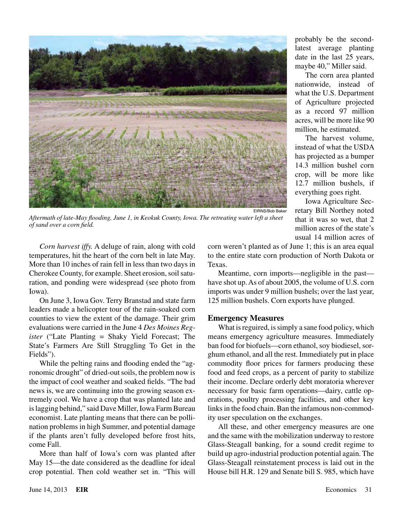

probably be the secondlatest average planting date in the last 25 years, maybe 40," Miller said.

The corn area planted nationwide, instead of what the U.S. Department of Agriculture projected as a record 97 million acres, will be more like 90 million, he estimated.

The harvest volume, instead of what the USDA has projected as a bumper 14.3 million bushel corn crop, will be more like 12.7 million bushels, if everything goes right.

Iowa Agriculture Secretary Bill Northey noted that it was so wet, that 2 million acres of the state's usual 14 million acres of

*Corn harvest iffy.* A deluge of rain, along with cold temperatures, hit the heart of the corn belt in late May. More than 10 inches of rain fell in less than two days in Cherokee County, for example. Sheet erosion, soil saturation, and ponding were widespread (see photo from Iowa).

On June 3, Iowa Gov. Terry Branstad and state farm leaders made a helicopter tour of the rain-soaked corn counties to view the extent of the damage. Their grim evaluations were carried in the June 4 *Des Moines Register* ("Late Planting = Shaky Yield Forecast; The State's Farmers Are Still Struggling To Get in the Fields").

While the pelting rains and flooding ended the "agronomic drought" of dried-out soils, the problem now is the impact of cool weather and soaked fields. "The bad news is, we are continuing into the growing season extremely cool. We have a crop that was planted late and is lagging behind," said Dave Miller, Iowa Farm Bureau economist. Late planting means that there can be pollination problems in high Summer, and potential damage if the plants aren't fully developed before frost hits, come Fall.

More than half of Iowa's corn was planted after May 15—the date considered as the deadline for ideal crop potential. Then cold weather set in. "This will corn weren't planted as of June 1; this is an area equal to the entire state corn production of North Dakota or Texas.

Meantime, corn imports—negligible in the past have shot up. As of about 2005, the volume of U.S. corn imports was under 9 million bushels; over the last year, 125 million bushels. Corn exports have plunged.

#### **Emergency Measures**

What is reguired, is simply a sane food policy, which means emergency agriculture measures. Immediately ban food for biofuels—corn ethanol, soy biodiesel, sorghum ethanol, and all the rest. Immediately put in place commodity floor prices for farmers producing these food and feed crops, as a percent of parity to stabilize their income. Declare orderly debt moratoria wherever necessary for basic farm operations—dairy, cattle operations, poultry processing facilities, and other key links in the food chain. Ban the infamous non-commodity user speculation on the exchanges.

All these, and other emergency measures are one and the same with the mobilization underway to restore Glass-Steagall banking, for a sound credit regime to build up agro-industrial production potential again. The Glass-Steagall reinstatement process is laid out in the House bill H.R. 129 and Senate bill S. 985, which have

*of sand over a corn field.*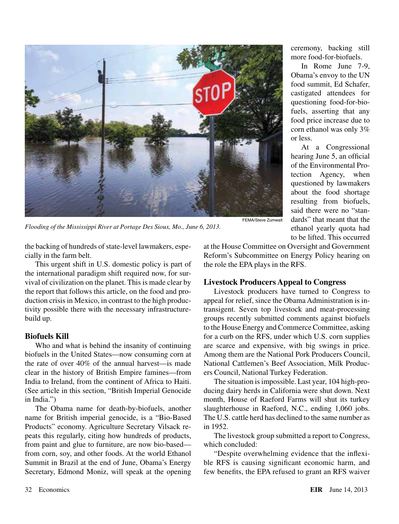

*Flooding of the Mississippi River at Portage Des Sioux, Mo., June 6, 2013.*

ceremony, backing still more food-for-biofuels.

In Rome June 7-9, Obama's envoy to the UN food summit, Ed Schafer, castigated attendees for questioning food-for-biofuels, asserting that any food price increase due to corn ethanol was only 3% or less.

At a Congressional hearing June 5, an official of the Environmental Protection Agency, when questioned by lawmakers about the food shortage resulting from biofuels, said there were no "standards" that meant that the ethanol yearly quota had to be lifted. This occurred

the backing of hundreds of state-level lawmakers, especially in the farm belt.

This urgent shift in U.S. domestic policy is part of the international paradigm shift required now, for survival of civilization on the planet. This is made clear by the report that follows this article, on the food and production crisis in Mexico, in contrast to the high productivity possible there with the necessary infrastructurebuild up.

### **Biofuels Kill**

Who and what is behind the insanity of continuing biofuels in the United States—now consuming corn at the rate of over 40% of the annual harvest—is made clear in the history of British Empire famines—from India to Ireland, from the continent of Africa to Haiti. (See article in this section, "British Imperial Genocide in India.")

The Obama name for death-by-biofuels, another name for British imperial genocide, is a "Bio-Based Products" economy. Agriculture Secretary Vilsack repeats this regularly, citing how hundreds of products, from paint and glue to furniture, are now bio-based from corn, soy, and other foods. At the world Ethanol Summit in Brazil at the end of June, Obama's Energy Secretary, Edmond Moniz, will speak at the opening at the House Committee on Oversight and Government Reform's Subcommittee on Energy Policy hearing on the role the EPA plays in the RFS.

## **Livestock Producers Appeal to Congress**

Livestock producers have turned to Congress to appeal for relief, since the Obama Administration is intransigent. Seven top livestock and meat-processing groups recently submitted comments against biofuels to the House Energy and Commerce Committee, asking for a curb on the RFS, under which U.S. corn supplies are scarce and expensive, with big swings in price. Among them are the National Pork Producers Council, National Cattlemen's Beef Association, Milk Producers Council, National Turkey Federation.

The situation is impossible. Last year, 104 high-producing dairy herds in California were shut down. Next month, House of Raeford Farms will shut its turkey slaughterhouse in Raeford, N.C., ending 1,060 jobs. The U.S. cattle herd has declined to the same number as in 1952.

The livestock group submitted a report to Congress, which concluded:

"Despite overwhelming evidence that the inflexible RFS is causing significant economic harm, and few benefits, the EPA refused to grant an RFS waiver